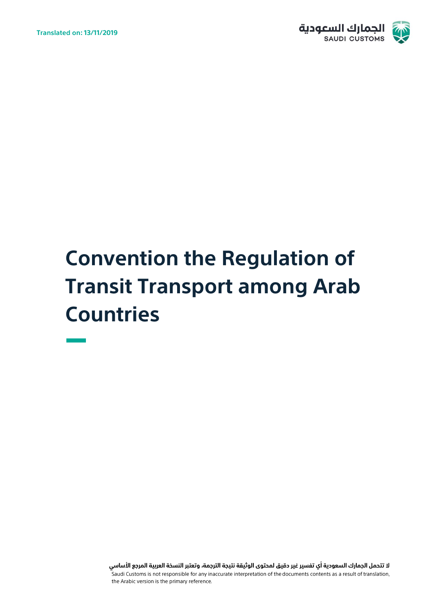

# **Convention the Regulation of Transit Transport among Arab Countries**

لا تتحمل الجمارك السعودية أي تفسير غير دقيق لمحتوى الوثيقة نتيجة الترجمة، وتعتبر النسخة العربية المرجع الأساسي ..<br>Saudi Customs is not responsible for any inaccurate interpretation of the documents contents as a result of translation, the Arabic version is the primary reference.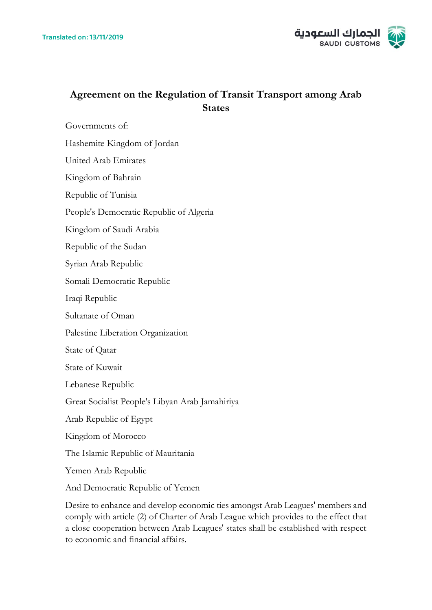**Translated on: 13/11/2019** 



# **Agreement on the Regulation of Transit Transport among Arab States**

Governments of:

Hashemite Kingdom of Jordan

United Arab Emirates

Kingdom of Bahrain

Republic of Tunisia

People's Democratic Republic of Algeria

Kingdom of Saudi Arabia

Republic of the Sudan

Syrian Arab Republic

Somali Democratic Republic

Iraqi Republic

Sultanate of Oman

Palestine Liberation Organization

State of Qatar

State of Kuwait

Lebanese Republic

Great Socialist People's Libyan Arab Jamahiriya

Arab Republic of Egypt

Kingdom of Morocco

The Islamic Republic of Mauritania

Yemen Arab Republic

And Democratic Republic of Yemen

Desire to enhance and develop economic ties amongst Arab Leagues' members and comply with article (2) of Charter of Arab League which provides to the effect that a close cooperation between Arab Leagues' states shall be established with respect to economic and financial affairs.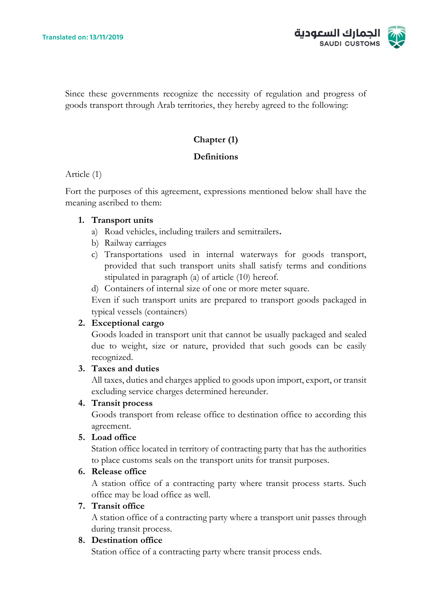

Since these governments recognize the necessity of regulation and progress of goods transport through Arab territories, they hereby agreed to the following:

# **Chapter (1)**

#### **Definitions**

#### Article (1)

Fort the purposes of this agreement, expressions mentioned below shall have the meaning ascribed to them:

#### **1. Transport units**

- a) Road vehicles, including trailers and semitrailers**.**
- b) Railway carriages
- c) Transportations used in internal waterways for goods transport, provided that such transport units shall satisfy terms and conditions stipulated in paragraph (a) of article (10) hereof.
- d) Containers of internal size of one or more meter square.

Even if such transport units are prepared to transport goods packaged in typical vessels (containers)

#### **2. Exceptional cargo**

Goods loaded in transport unit that cannot be usually packaged and sealed due to weight, size or nature, provided that such goods can be easily recognized.

#### **3. Taxes and duties**

All taxes, duties and charges applied to goods upon import, export, or transit excluding service charges determined hereunder.

#### **4. Transit process**

Goods transport from release office to destination office to according this agreement.

#### **5. Load office**

Station office located in territory of contracting party that has the authorities to place customs seals on the transport units for transit purposes.

#### **6. Release office**

A station office of a contracting party where transit process starts. Such office may be load office as well.

#### **7. Transit office**

A station office of a contracting party where a transport unit passes through during transit process.

# **8. Destination office**

Station office of a contracting party where transit process ends.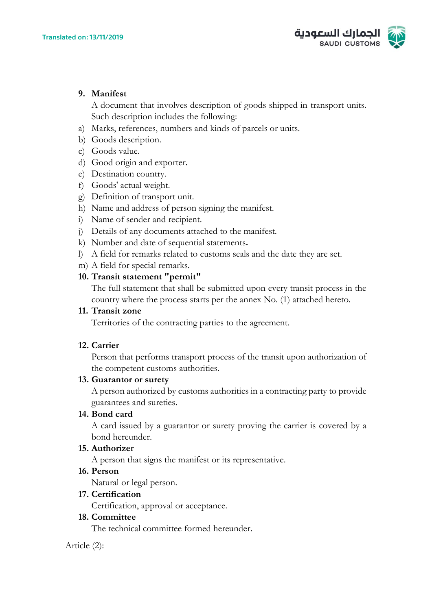

#### **9. Manifest**

A document that involves description of goods shipped in transport units. Such description includes the following:

- a) Marks, references, numbers and kinds of parcels or units.
- b) Goods description.
- c) Goods value.
- d) Good origin and exporter.
- e) Destination country.
- f) Goods' actual weight.
- g) Definition of transport unit.
- h) Name and address of person signing the manifest.
- i) Name of sender and recipient.
- j) Details of any documents attached to the manifest.
- k) Number and date of sequential statements**.**
- l) A field for remarks related to customs seals and the date they are set.
- m) A field for special remarks.

#### **10. Transit statement "permit"**

The full statement that shall be submitted upon every transit process in the country where the process starts per the annex No. (1) attached hereto.

#### **11. Transit zone**

Territories of the contracting parties to the agreement.

#### **12. Carrier**

Person that performs transport process of the transit upon authorization of the competent customs authorities.

#### **13. Guarantor or surety**

A person authorized by customs authorities in a contracting party to provide guarantees and sureties.

#### **14. Bond card**

A card issued by a guarantor or surety proving the carrier is covered by a bond hereunder.

#### **15. Authorizer**

A person that signs the manifest or its representative.

#### **16. Person**

Natural or legal person.

#### **17. Certification**

Certification, approval or acceptance.

#### **18. Committee**

The technical committee formed hereunder.

Article (2):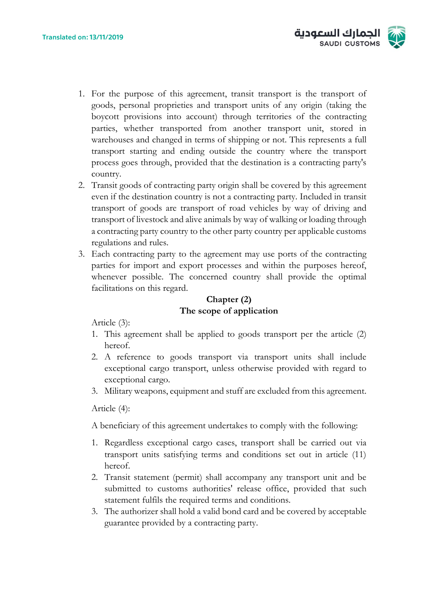

- 1. For the purpose of this agreement, transit transport is the transport of goods, personal proprieties and transport units of any origin (taking the boycott provisions into account) through territories of the contracting parties, whether transported from another transport unit, stored in warehouses and changed in terms of shipping or not. This represents a full transport starting and ending outside the country where the transport process goes through, provided that the destination is a contracting party's country.
- 2. Transit goods of contracting party origin shall be covered by this agreement even if the destination country is not a contracting party. Included in transit transport of goods are transport of road vehicles by way of driving and transport of livestock and alive animals by way of walking or loading through a contracting party country to the other party country per applicable customs regulations and rules.
- 3. Each contracting party to the agreement may use ports of the contracting parties for import and export processes and within the purposes hereof, whenever possible. The concerned country shall provide the optimal facilitations on this regard.

# **Chapter (2) The scope of application**

Article (3):

- 1. This agreement shall be applied to goods transport per the article (2) hereof.
- 2. A reference to goods transport via transport units shall include exceptional cargo transport, unless otherwise provided with regard to exceptional cargo.
- 3. Military weapons, equipment and stuff are excluded from this agreement.

Article (4):

A beneficiary of this agreement undertakes to comply with the following:

- 1. Regardless exceptional cargo cases, transport shall be carried out via transport units satisfying terms and conditions set out in article (11) hereof.
- 2. Transit statement (permit) shall accompany any transport unit and be submitted to customs authorities' release office, provided that such statement fulfils the required terms and conditions.
- 3. The authorizer shall hold a valid bond card and be covered by acceptable guarantee provided by a contracting party.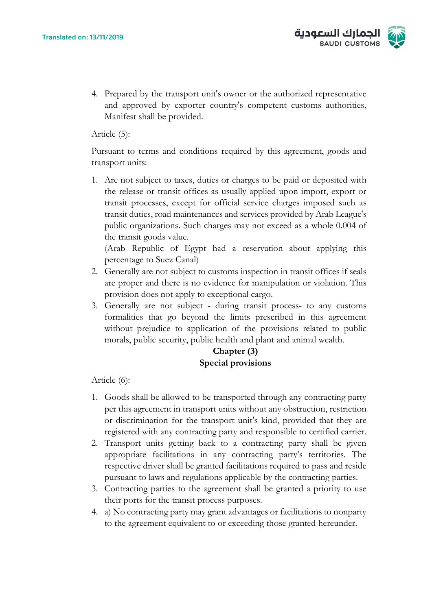

4. Prepared by the transport unit's owner or the authorized representative and approved by exporter country's competent customs authorities, Manifest shall be provided.

Article (5):

Pursuant to terms and conditions required by this agreement, goods and transport units:

1. Are not subject to taxes, duties or charges to be paid or deposited with the release or transit offices as usually applied upon import, export or transit processes, except for official service charges imposed such as transit duties, road maintenances and services provided by Arab League's public organizations. Such charges may not exceed as a whole 0.004 of the transit goods value.

(Arab Republic of Egypt had a reservation about applying this percentage to Suez Canal)

- 2. Generally are not subject to customs inspection in transit offices if seals are proper and there is no evidence for manipulation or violation. This provision does not apply to exceptional cargo.
- 3. Generally are not subject during transit process- to any customs formalities that go beyond the limits prescribed in this agreement without prejudice to application of the provisions related to public morals, public security, public health and plant and animal wealth.

# **Chapter (3) Special provisions**

Article (6):

- 1. Goods shall be allowed to be transported through any contracting party per this agreement in transport units without any obstruction, restriction or discrimination for the transport unit's kind, provided that they are registered with any contracting party and responsible to certified carrier.
- 2. Transport units getting back to a contracting party shall be given appropriate facilitations in any contracting party's territories. The respective driver shall be granted facilitations required to pass and reside pursuant to laws and regulations applicable by the contracting parties.
- 3. Contracting parties to the agreement shall be granted a priority to use their ports for the transit process purposes.
- 4. a) No contracting party may grant advantages or facilitations to nonparty to the agreement equivalent to or exceeding those granted hereunder.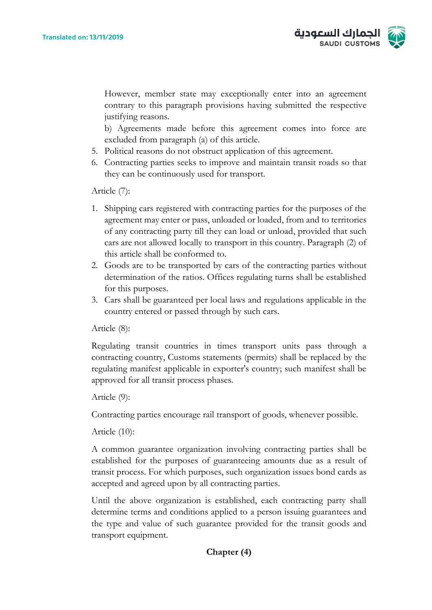

However, member state may exceptionally enter into an agreement contrary to this paragraph provisions having submitted the respective justifying reasons.

b) Agreements made before this agreement comes into force are excluded from paragraph (a) of this article.

- 5. Political reasons do not obstruct application of this agreement.
- 6. Contracting parties seeks to improve and maintain transit roads so that they can be continuously used for transport.

Article (7):

- 1. Shipping cars registered with contracting parties for the purposes of the agreement may enter or pass, unloaded or loaded, from and to territories of any contracting party till they can load or unload, provided that such cars are not allowed locally to transport in this country. Paragraph (2) of this article shall be conformed to.
- 2. Goods are to be transported by cars of the contracting parties without determination of the ratios. Offices regulating turns shall be established for this purposes.
- 3. Cars shall be guaranteed per local laws and regulations applicable in the country entered or passed through by such cars.

Article (8):

Regulating transit countries in times transport units pass through a contracting country, Customs statements (permits) shall be replaced by the regulating manifest applicable in exporter's country; such manifest shall be approved for all transit process phases.

Article (9):

Contracting parties encourage rail transport of goods, whenever possible.

Article (10):

A common guarantee organization involving contracting parties shall be established for the purposes of guaranteeing amounts due as a result of transit process. For which purposes, such organization issues bond cards as accepted and agreed upon by all contracting parties.

Until the above organization is established, each contracting party shall determine terms and conditions applied to a person issuing guarantees and the type and value of such guarantee provided for the transit goods and transport equipment.

# **Chapter (4)**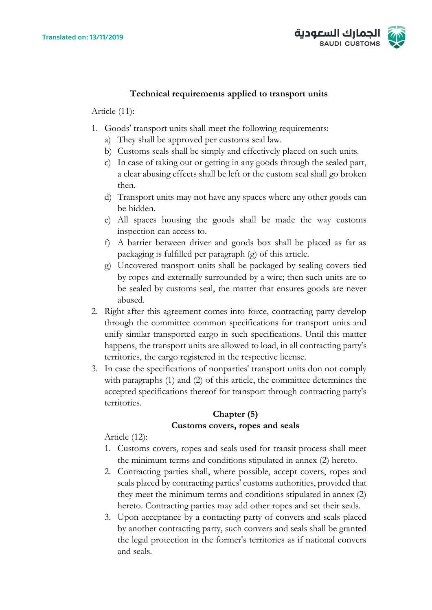

#### **Technical requirements applied to transport units**

Article (11):

- 1. Goods' transport units shall meet the following requirements:
	- a) They shall be approved per customs seal law.
	- b) Customs seals shall be simply and effectively placed on such units.
	- c) In case of taking out or getting in any goods through the sealed part, a clear abusing effects shall be left or the custom seal shall go broken then.
	- d) Transport units may not have any spaces where any other goods can be hidden.
	- e) All spaces housing the goods shall be made the way customs inspection can access to.
	- f) A barrier between driver and goods box shall be placed as far as packaging is fulfilled per paragraph (g) of this article.
	- g) Uncovered transport units shall be packaged by sealing covers tied by ropes and externally surrounded by a wire; then such units are to be sealed by customs seal, the matter that ensures goods are never abused.
- 2. Right after this agreement comes into force, contracting party develop through the committee common specifications for transport units and unify similar transported cargo in such specifications. Until this matter happens, the transport units are allowed to load, in all contracting party's territories, the cargo registered in the respective license.
- 3. In case the specifications of nonparties' transport units don not comply with paragraphs (1) and (2) of this article, the committee determines the accepted specifications thereof for transport through contracting party's territories.

#### **Chapter (5) Customs covers, ropes and seals**

Article (12):

- 1. Customs covers, ropes and seals used for transit process shall meet the minimum terms and conditions stipulated in annex (2) hereto.
- 2. Contracting parties shall, where possible, accept covers, ropes and seals placed by contracting parties' customs authorities, provided that they meet the minimum terms and conditions stipulated in annex (2) hereto. Contracting parties may add other ropes and set their seals.
- 3. Upon acceptance by a contacting party of convers and seals placed by another contracting party, such convers and seals shall be granted the legal protection in the former's territories as if national convers and seals.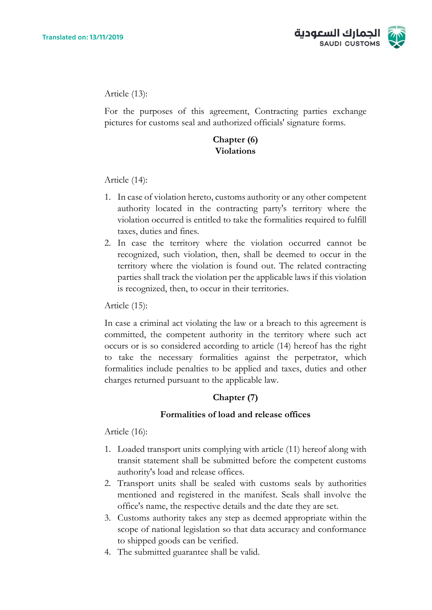

#### Article (13):

For the purposes of this agreement, Contracting parties exchange pictures for customs seal and authorized officials' signature forms.

### **Chapter (6) Violations**

#### Article (14):

- 1. In case of violation hereto, customs authority or any other competent authority located in the contracting party's territory where the violation occurred is entitled to take the formalities required to fulfill taxes, duties and fines.
- 2. In case the territory where the violation occurred cannot be recognized, such violation, then, shall be deemed to occur in the territory where the violation is found out. The related contracting parties shall track the violation per the applicable laws if this violation is recognized, then, to occur in their territories.

Article (15):

In case a criminal act violating the law or a breach to this agreement is committed, the competent authority in the territory where such act occurs or is so considered according to article (14) hereof has the right to take the necessary formalities against the perpetrator, which formalities include penalties to be applied and taxes, duties and other charges returned pursuant to the applicable law.

# **Chapter (7)**

#### **Formalities of load and release offices**

Article (16):

- 1. Loaded transport units complying with article (11) hereof along with transit statement shall be submitted before the competent customs authority's load and release offices.
- 2. Transport units shall be sealed with customs seals by authorities mentioned and registered in the manifest. Seals shall involve the office's name, the respective details and the date they are set.
- 3. Customs authority takes any step as deemed appropriate within the scope of national legislation so that data accuracy and conformance to shipped goods can be verified.
- 4. The submitted guarantee shall be valid.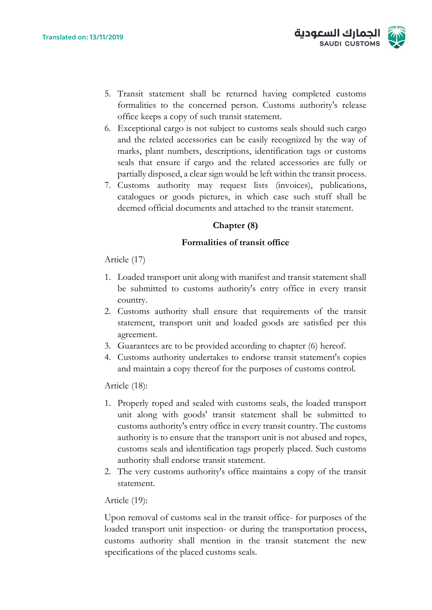

- 5. Transit statement shall be returned having completed customs formalities to the concerned person. Customs authority's release office keeps a copy of such transit statement.
- 6. Exceptional cargo is not subject to customs seals should such cargo and the related accessories can be easily recognized by the way of marks, plant numbers, descriptions, identification tags or customs seals that ensure if cargo and the related accessories are fully or partially disposed, a clear sign would be left within the transit process.
- 7. Customs authority may request lists (invoices), publications, catalogues or goods pictures, in which case such stuff shall be deemed official documents and attached to the transit statement.

#### **Chapter (8)**

#### **Formalities of transit office**

#### Article (17)

- 1. Loaded transport unit along with manifest and transit statement shall be submitted to customs authority's entry office in every transit country.
- 2. Customs authority shall ensure that requirements of the transit statement, transport unit and loaded goods are satisfied per this agreement.
- 3. Guarantees are to be provided according to chapter (6) hereof.
- 4. Customs authority undertakes to endorse transit statement's copies and maintain a copy thereof for the purposes of customs control.

Article (18):

- 1. Properly roped and sealed with customs seals, the loaded transport unit along with goods' transit statement shall be submitted to customs authority's entry office in every transit country. The customs authority is to ensure that the transport unit is not abused and ropes, customs seals and identification tags properly placed. Such customs authority shall endorse transit statement.
- 2. The very customs authority's office maintains a copy of the transit statement.

#### Article (19):

Upon removal of customs seal in the transit office- for purposes of the loaded transport unit inspection- or during the transportation process, customs authority shall mention in the transit statement the new specifications of the placed customs seals.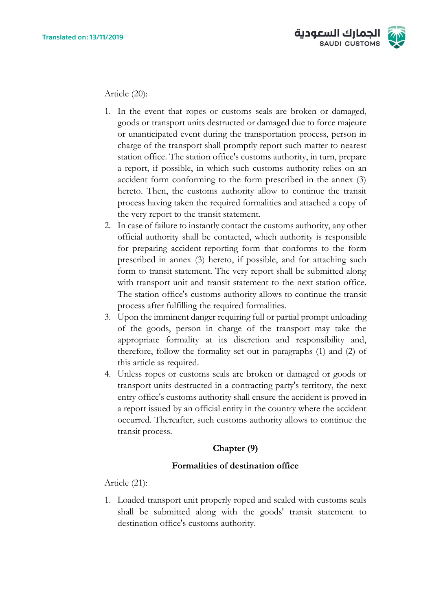

Article (20):

- 1. In the event that ropes or customs seals are broken or damaged, goods or transport units destructed or damaged due to force majeure or unanticipated event during the transportation process, person in charge of the transport shall promptly report such matter to nearest station office. The station office's customs authority, in turn, prepare a report, if possible, in which such customs authority relies on an accident form conforming to the form prescribed in the annex (3) hereto. Then, the customs authority allow to continue the transit process having taken the required formalities and attached a copy of the very report to the transit statement.
- 2. In case of failure to instantly contact the customs authority, any other official authority shall be contacted, which authority is responsible for preparing accident-reporting form that conforms to the form prescribed in annex (3) hereto, if possible, and for attaching such form to transit statement. The very report shall be submitted along with transport unit and transit statement to the next station office. The station office's customs authority allows to continue the transit process after fulfilling the required formalities.
- 3. Upon the imminent danger requiring full or partial prompt unloading of the goods, person in charge of the transport may take the appropriate formality at its discretion and responsibility and, therefore, follow the formality set out in paragraphs (1) and (2) of this article as required.
- 4. Unless ropes or customs seals are broken or damaged or goods or transport units destructed in a contracting party's territory, the next entry office's customs authority shall ensure the accident is proved in a report issued by an official entity in the country where the accident occurred. Thereafter, such customs authority allows to continue the transit process.

# **Chapter (9)**

#### **Formalities of destination office**

Article (21):

1. Loaded transport unit properly roped and sealed with customs seals shall be submitted along with the goods' transit statement to destination office's customs authority.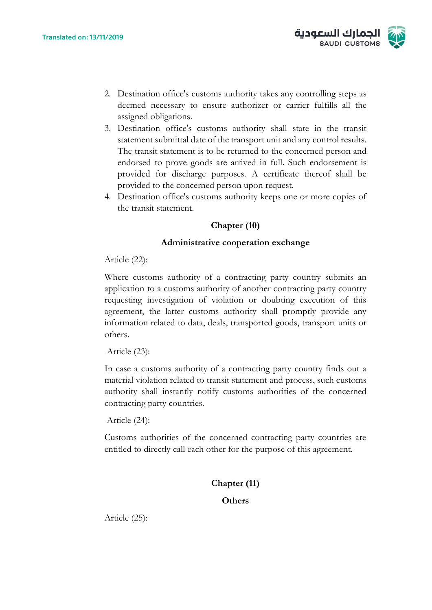

- 2. Destination office's customs authority takes any controlling steps as deemed necessary to ensure authorizer or carrier fulfills all the assigned obligations.
- 3. Destination office's customs authority shall state in the transit statement submittal date of the transport unit and any control results. The transit statement is to be returned to the concerned person and endorsed to prove goods are arrived in full. Such endorsement is provided for discharge purposes. A certificate thereof shall be provided to the concerned person upon request.
- 4. Destination office's customs authority keeps one or more copies of the transit statement.

#### **Chapter (10)**

#### **Administrative cooperation exchange**

#### Article (22):

Where customs authority of a contracting party country submits an application to a customs authority of another contracting party country requesting investigation of violation or doubting execution of this agreement, the latter customs authority shall promptly provide any information related to data, deals, transported goods, transport units or others.

Article (23):

In case a customs authority of a contracting party country finds out a material violation related to transit statement and process, such customs authority shall instantly notify customs authorities of the concerned contracting party countries.

Article (24):

Customs authorities of the concerned contracting party countries are entitled to directly call each other for the purpose of this agreement.

**Chapter (11)**

**Others**

Article (25):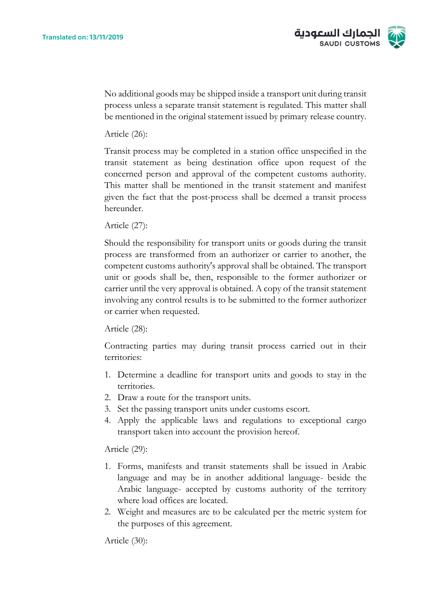

No additional goods may be shipped inside a transport unit during transit process unless a separate transit statement is regulated. This matter shall be mentioned in the original statement issued by primary release country.

#### Article (26):

Transit process may be completed in a station office unspecified in the transit statement as being destination office upon request of the concerned person and approval of the competent customs authority. This matter shall be mentioned in the transit statement and manifest given the fact that the post-process shall be deemed a transit process hereunder.

#### Article (27):

Should the responsibility for transport units or goods during the transit process are transformed from an authorizer or carrier to another, the competent customs authority's approval shall be obtained. The transport unit or goods shall be, then, responsible to the former authorizer or carrier until the very approval is obtained. A copy of the transit statement involving any control results is to be submitted to the former authorizer or carrier when requested.

#### Article (28):

Contracting parties may during transit process carried out in their territories:

- 1. Determine a deadline for transport units and goods to stay in the territories.
- 2. Draw a route for the transport units.
- 3. Set the passing transport units under customs escort.
- 4. Apply the applicable laws and regulations to exceptional cargo transport taken into account the provision hereof.

#### Article (29):

- 1. Forms, manifests and transit statements shall be issued in Arabic language and may be in another additional language- beside the Arabic language- accepted by customs authority of the territory where load offices are located.
- 2. Weight and measures are to be calculated per the metric system for the purposes of this agreement.

Article (30):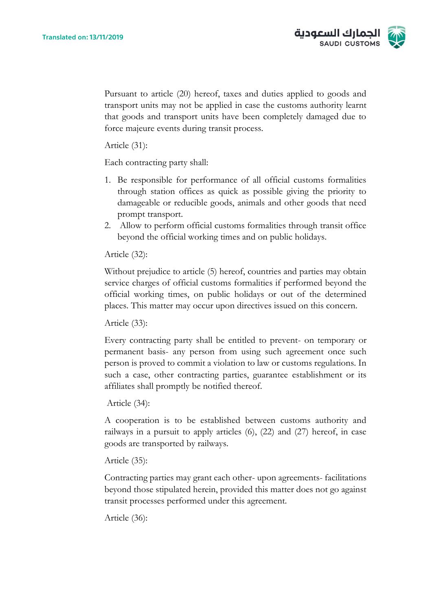

Pursuant to article (20) hereof, taxes and duties applied to goods and transport units may not be applied in case the customs authority learnt that goods and transport units have been completely damaged due to force majeure events during transit process.

Article (31):

Each contracting party shall:

- 1. Be responsible for performance of all official customs formalities through station offices as quick as possible giving the priority to damageable or reducible goods, animals and other goods that need prompt transport.
- 2. Allow to perform official customs formalities through transit office beyond the official working times and on public holidays.

#### Article (32):

Without prejudice to article (5) hereof, countries and parties may obtain service charges of official customs formalities if performed beyond the official working times, on public holidays or out of the determined places. This matter may occur upon directives issued on this concern.

Article (33):

Every contracting party shall be entitled to prevent- on temporary or permanent basis- any person from using such agreement once such person is proved to commit a violation to law or customs regulations. In such a case, other contracting parties, guarantee establishment or its affiliates shall promptly be notified thereof.

Article (34):

A cooperation is to be established between customs authority and railways in a pursuit to apply articles (6), (22) and (27) hereof, in case goods are transported by railways.

Article (35):

Contracting parties may grant each other- upon agreements- facilitations beyond those stipulated herein, provided this matter does not go against transit processes performed under this agreement.

Article (36):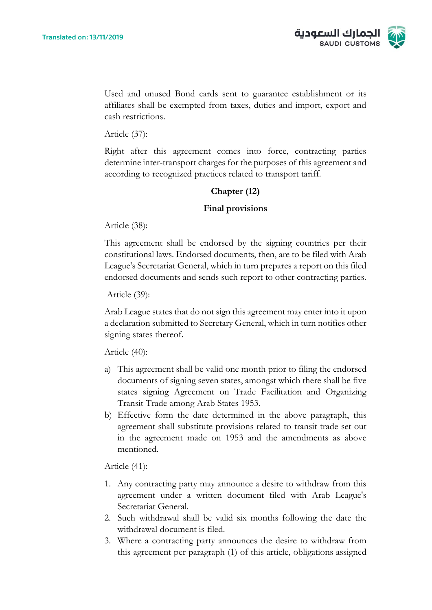

Used and unused Bond cards sent to guarantee establishment or its affiliates shall be exempted from taxes, duties and import, export and cash restrictions.

Article (37):

Right after this agreement comes into force, contracting parties determine inter-transport charges for the purposes of this agreement and according to recognized practices related to transport tariff.

# **Chapter (12)**

#### **Final provisions**

Article (38):

This agreement shall be endorsed by the signing countries per their constitutional laws. Endorsed documents, then, are to be filed with Arab League's Secretariat General, which in turn prepares a report on this filed endorsed documents and sends such report to other contracting parties.

Article (39):

Arab League states that do not sign this agreement may enter into it upon a declaration submitted to Secretary General, which in turn notifies other signing states thereof.

Article (40):

- a) This agreement shall be valid one month prior to filing the endorsed documents of signing seven states, amongst which there shall be five states signing Agreement on Trade Facilitation and Organizing Transit Trade among Arab States 1953.
- b) Effective form the date determined in the above paragraph, this agreement shall substitute provisions related to transit trade set out in the agreement made on 1953 and the amendments as above mentioned.

Article (41):

- 1. Any contracting party may announce a desire to withdraw from this agreement under a written document filed with Arab League's Secretariat General.
- 2. Such withdrawal shall be valid six months following the date the withdrawal document is filed.
- 3. Where a contracting party announces the desire to withdraw from this agreement per paragraph (1) of this article, obligations assigned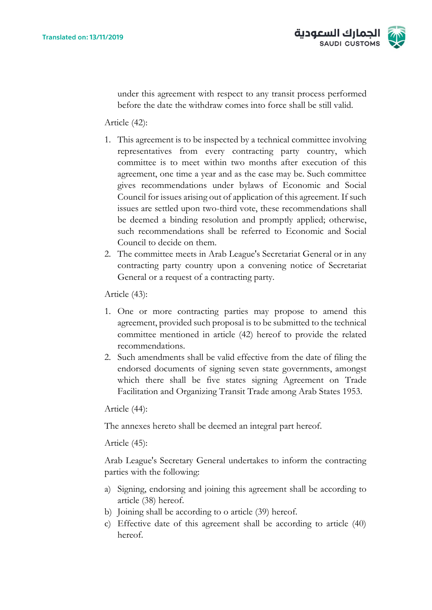

under this agreement with respect to any transit process performed before the date the withdraw comes into force shall be still valid.

Article (42):

- 1. This agreement is to be inspected by a technical committee involving representatives from every contracting party country, which committee is to meet within two months after execution of this agreement, one time a year and as the case may be. Such committee gives recommendations under bylaws of Economic and Social Council for issues arising out of application of this agreement. If such issues are settled upon two-third vote, these recommendations shall be deemed a binding resolution and promptly applied; otherwise, such recommendations shall be referred to Economic and Social Council to decide on them.
- 2. The committee meets in Arab League's Secretariat General or in any contracting party country upon a convening notice of Secretariat General or a request of a contracting party.

Article (43):

- 1. One or more contracting parties may propose to amend this agreement, provided such proposal is to be submitted to the technical committee mentioned in article (42) hereof to provide the related recommendations.
- 2. Such amendments shall be valid effective from the date of filing the endorsed documents of signing seven state governments, amongst which there shall be five states signing Agreement on Trade Facilitation and Organizing Transit Trade among Arab States 1953.

Article (44):

The annexes hereto shall be deemed an integral part hereof.

Article (45):

Arab League's Secretary General undertakes to inform the contracting parties with the following:

- a) Signing, endorsing and joining this agreement shall be according to article (38) hereof.
- b) Joining shall be according to o article (39) hereof.
- c) Effective date of this agreement shall be according to article (40) hereof.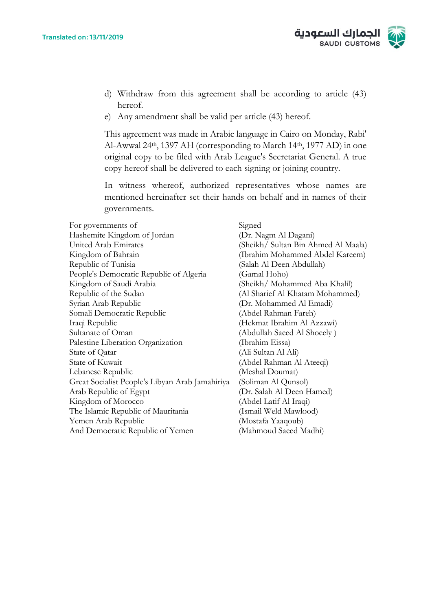

- d) Withdraw from this agreement shall be according to article (43) hereof.
- e) Any amendment shall be valid per article (43) hereof.

This agreement was made in Arabic language in Cairo on Monday, Rabi' Al-Awwal 24th, 1397 AH (corresponding to March 14th, 1977 AD) in one original copy to be filed with Arab League's Secretariat General. A true copy hereof shall be delivered to each signing or joining country.

In witness whereof, authorized representatives whose names are mentioned hereinafter set their hands on behalf and in names of their governments.

| Signed                              |
|-------------------------------------|
| (Dr. Nagm Al Dagani)                |
| (Sheikh/ Sultan Bin Ahmed Al Maala) |
| (Ibrahim Mohammed Abdel Kareem)     |
| (Salah Al Deen Abdullah)            |
| (Gamal Hoho)                        |
| (Sheikh/ Mohammed Aba Khalil)       |
| (Al Sharief Al Khatam Mohammed)     |
| (Dr. Mohammed Al Emadi)             |
| (Abdel Rahman Fareh)                |
| (Hekmat Ibrahim Al Azzawi)          |
| (Abdullah Saeed Al Shoeely)         |
| (Ibrahim Eissa)                     |
| (Ali Sultan Al Ali)                 |
| (Abdel Rahman Al Ateeqi)            |
| (Meshal Doumat)                     |
| (Soliman Al Qunsol)                 |
| (Dr. Salah Al Deen Hamed)           |
| (Abdel Latif Al Iraqi)              |
| (Ismail Weld Mawlood)               |
| (Mostafa Yaaqoub)                   |
| (Mahmoud Saeed Madhi)               |
|                                     |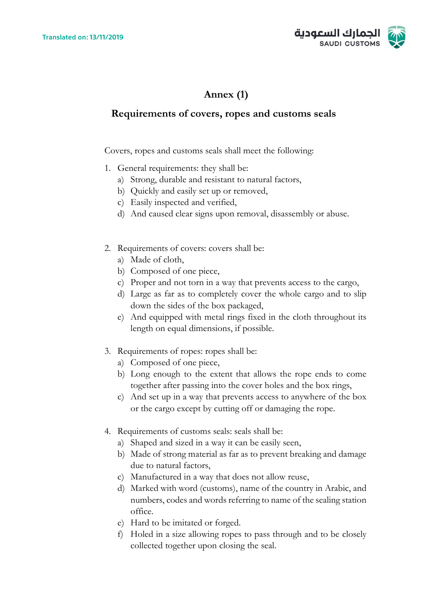

# **Annex (1)**

# **Requirements of covers, ropes and customs seals**

Covers, ropes and customs seals shall meet the following:

- 1. General requirements: they shall be:
	- a) Strong, durable and resistant to natural factors,
	- b) Quickly and easily set up or removed,
	- c) Easily inspected and verified,
	- d) And caused clear signs upon removal, disassembly or abuse.
- 2. Requirements of covers: covers shall be:
	- a) Made of cloth,
	- b) Composed of one piece,
	- c) Proper and not torn in a way that prevents access to the cargo,
	- d) Large as far as to completely cover the whole cargo and to slip down the sides of the box packaged,
	- e) And equipped with metal rings fixed in the cloth throughout its length on equal dimensions, if possible.
- 3. Requirements of ropes: ropes shall be:
	- a) Composed of one piece,
	- b) Long enough to the extent that allows the rope ends to come together after passing into the cover holes and the box rings,
	- c) And set up in a way that prevents access to anywhere of the box or the cargo except by cutting off or damaging the rope.
- 4. Requirements of customs seals: seals shall be:
	- a) Shaped and sized in a way it can be easily seen,
	- b) Made of strong material as far as to prevent breaking and damage due to natural factors,
	- c) Manufactured in a way that does not allow reuse,
	- d) Marked with word (customs), name of the country in Arabic, and numbers, codes and words referring to name of the sealing station office.
	- e) Hard to be imitated or forged.
	- f) Holed in a size allowing ropes to pass through and to be closely collected together upon closing the seal.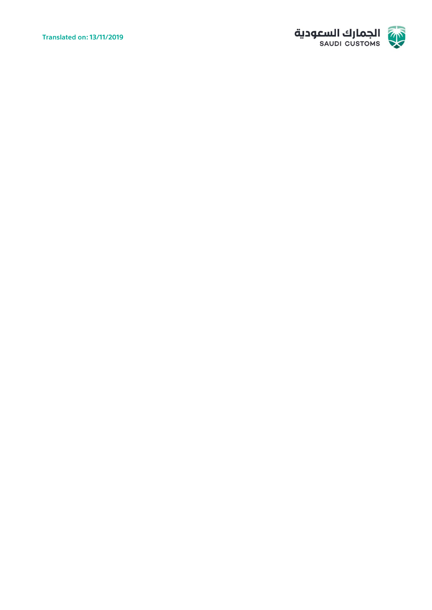

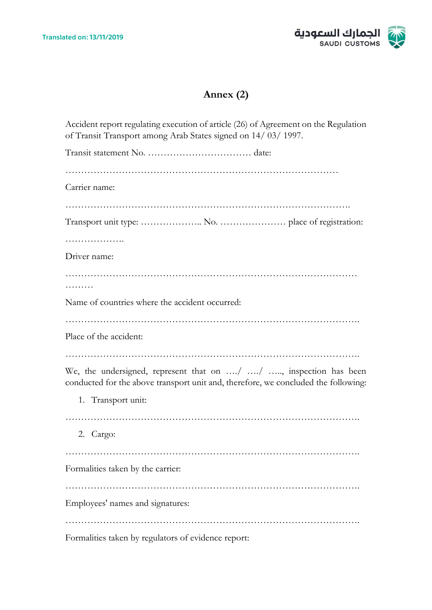

# **Annex (2)**

| Accident report regulating execution of article (26) of Agreement on the Regulation<br>of Transit Transport among Arab States signed on 14/03/1997.    |
|--------------------------------------------------------------------------------------------------------------------------------------------------------|
|                                                                                                                                                        |
| Carrier name:                                                                                                                                          |
|                                                                                                                                                        |
| .<br>Driver name:                                                                                                                                      |
| .                                                                                                                                                      |
| Name of countries where the accident occurred:                                                                                                         |
| Place of the accident:                                                                                                                                 |
| We, the undersigned, represent that on / / , inspection has been<br>conducted for the above transport unit and, therefore, we concluded the following: |
| 1. Transport unit:                                                                                                                                     |
| 2. Cargo:                                                                                                                                              |
| Formalities taken by the carrier:                                                                                                                      |
| Employees' names and signatures:                                                                                                                       |
| Formalities taken by regulators of evidence report:                                                                                                    |